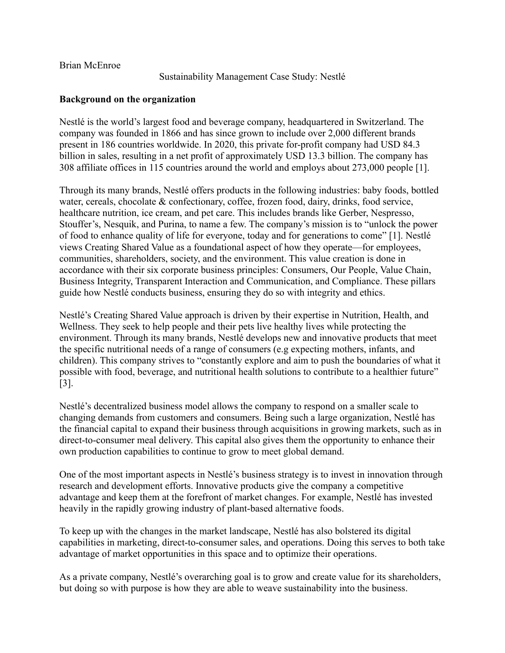Brian McEnroe

Sustainability Management Case Study: Nestlé

### **Background on the organization**

Nestlé is the world's largest food and beverage company, headquartered in Switzerland. The company was founded in 1866 and has since grown to include over 2,000 different brands present in 186 countries worldwide. In 2020, this private for-profit company had USD 84.3 billion in sales, resulting in a net profit of approximately USD 13.3 billion. The company has 308 affiliate offices in 115 countries around the world and employs about 273,000 people [1].

Through its many brands, Nestlé offers products in the following industries: baby foods, bottled water, cereals, chocolate & confectionary, coffee, frozen food, dairy, drinks, food service, healthcare nutrition, ice cream, and pet care. This includes brands like Gerber, Nespresso, Stouffer's, Nesquik, and Purina, to name a few. The company's mission is to "unlock the power of food to enhance quality of life for everyone, today and for generations to come" [1]. Nestlé views Creating Shared Value as a foundational aspect of how they operate—for employees, communities, shareholders, society, and the environment. This value creation is done in accordance with their six corporate business principles: Consumers, Our People, Value Chain, Business Integrity, Transparent Interaction and Communication, and Compliance. These pillars guide how Nestlé conducts business, ensuring they do so with integrity and ethics.

Nestlé's Creating Shared Value approach is driven by their expertise in Nutrition, Health, and Wellness. They seek to help people and their pets live healthy lives while protecting the environment. Through its many brands, Nestlé develops new and innovative products that meet the specific nutritional needs of a range of consumers (e.g expecting mothers, infants, and children). This company strives to "constantly explore and aim to push the boundaries of what it possible with food, beverage, and nutritional health solutions to contribute to a healthier future" [3].

Nestlé's decentralized business model allows the company to respond on a smaller scale to changing demands from customers and consumers. Being such a large organization, Nestlé has the financial capital to expand their business through acquisitions in growing markets, such as in direct-to-consumer meal delivery. This capital also gives them the opportunity to enhance their own production capabilities to continue to grow to meet global demand.

One of the most important aspects in Nestlé's business strategy is to invest in innovation through research and development efforts. Innovative products give the company a competitive advantage and keep them at the forefront of market changes. For example, Nestlé has invested heavily in the rapidly growing industry of plant-based alternative foods.

To keep up with the changes in the market landscape, Nestlé has also bolstered its digital capabilities in marketing, direct-to-consumer sales, and operations. Doing this serves to both take advantage of market opportunities in this space and to optimize their operations.

As a private company, Nestlé's overarching goal is to grow and create value for its shareholders, but doing so with purpose is how they are able to weave sustainability into the business.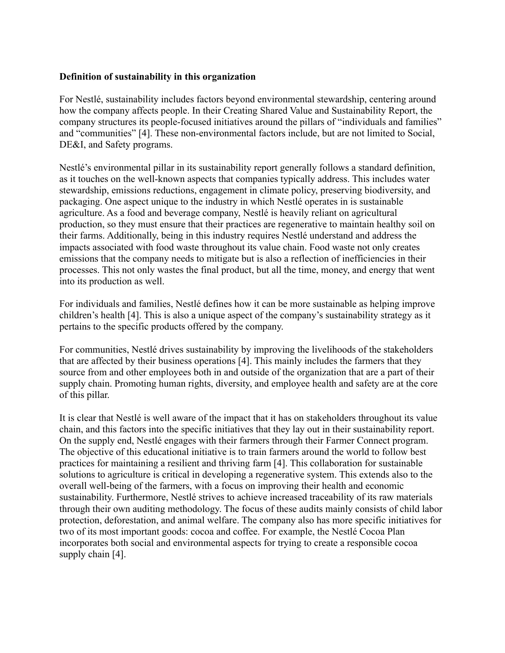#### **Definition of sustainability in this organization**

For Nestlé, sustainability includes factors beyond environmental stewardship, centering around how the company affects people. In their Creating Shared Value and Sustainability Report, the company structures its people-focused initiatives around the pillars of "individuals and families" and "communities" [4]. These non-environmental factors include, but are not limited to Social, DE&I, and Safety programs.

Nestlé's environmental pillar in its sustainability report generally follows a standard definition, as it touches on the well-known aspects that companies typically address. This includes water stewardship, emissions reductions, engagement in climate policy, preserving biodiversity, and packaging. One aspect unique to the industry in which Nestlé operates in is sustainable agriculture. As a food and beverage company, Nestlé is heavily reliant on agricultural production, so they must ensure that their practices are regenerative to maintain healthy soil on their farms. Additionally, being in this industry requires Nestlé understand and address the impacts associated with food waste throughout its value chain. Food waste not only creates emissions that the company needs to mitigate but is also a reflection of inefficiencies in their processes. This not only wastes the final product, but all the time, money, and energy that went into its production as well.

For individuals and families, Nestlé defines how it can be more sustainable as helping improve children's health [4]. This is also a unique aspect of the company's sustainability strategy as it pertains to the specific products offered by the company.

For communities, Nestlé drives sustainability by improving the livelihoods of the stakeholders that are affected by their business operations [4]. This mainly includes the farmers that they source from and other employees both in and outside of the organization that are a part of their supply chain. Promoting human rights, diversity, and employee health and safety are at the core of this pillar.

It is clear that Nestlé is well aware of the impact that it has on stakeholders throughout its value chain, and this factors into the specific initiatives that they lay out in their sustainability report. On the supply end, Nestlé engages with their farmers through their Farmer Connect program. The objective of this educational initiative is to train farmers around the world to follow best practices for maintaining a resilient and thriving farm [4]. This collaboration for sustainable solutions to agriculture is critical in developing a regenerative system. This extends also to the overall well-being of the farmers, with a focus on improving their health and economic sustainability. Furthermore, Nestlé strives to achieve increased traceability of its raw materials through their own auditing methodology. The focus of these audits mainly consists of child labor protection, deforestation, and animal welfare. The company also has more specific initiatives for two of its most important goods: cocoa and coffee. For example, the Nestlé Cocoa Plan incorporates both social and environmental aspects for trying to create a responsible cocoa supply chain [4].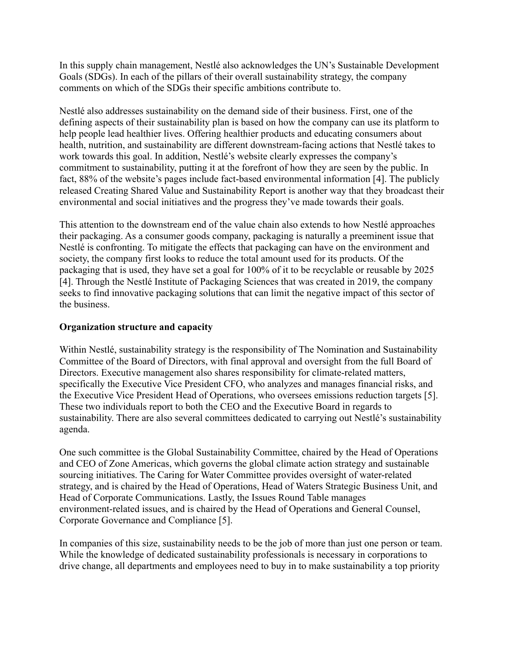In this supply chain management, Nestlé also acknowledges the UN's Sustainable Development Goals (SDGs). In each of the pillars of their overall sustainability strategy, the company comments on which of the SDGs their specific ambitions contribute to.

Nestlé also addresses sustainability on the demand side of their business. First, one of the defining aspects of their sustainability plan is based on how the company can use its platform to help people lead healthier lives. Offering healthier products and educating consumers about health, nutrition, and sustainability are different downstream-facing actions that Nestlé takes to work towards this goal. In addition, Nestlé's website clearly expresses the company's commitment to sustainability, putting it at the forefront of how they are seen by the public. In fact, 88% of the website's pages include fact-based environmental information [4]. The publicly released Creating Shared Value and Sustainability Report is another way that they broadcast their environmental and social initiatives and the progress they've made towards their goals.

This attention to the downstream end of the value chain also extends to how Nestlé approaches their packaging. As a consumer goods company, packaging is naturally a preeminent issue that Nestlé is confronting. To mitigate the effects that packaging can have on the environment and society, the company first looks to reduce the total amount used for its products. Of the packaging that is used, they have set a goal for 100% of it to be recyclable or reusable by 2025 [4]. Through the Nestlé Institute of Packaging Sciences that was created in 2019, the company seeks to find innovative packaging solutions that can limit the negative impact of this sector of the business.

### **Organization structure and capacity**

Within Nestlé, sustainability strategy is the responsibility of The Nomination and Sustainability Committee of the Board of Directors, with final approval and oversight from the full Board of Directors. Executive management also shares responsibility for climate-related matters, specifically the Executive Vice President CFO, who analyzes and manages financial risks, and the Executive Vice President Head of Operations, who oversees emissions reduction targets [5]. These two individuals report to both the CEO and the Executive Board in regards to sustainability. There are also several committees dedicated to carrying out Nestlé's sustainability agenda.

One such committee is the Global Sustainability Committee, chaired by the Head of Operations and CEO of Zone Americas, which governs the global climate action strategy and sustainable sourcing initiatives. The Caring for Water Committee provides oversight of water-related strategy, and is chaired by the Head of Operations, Head of Waters Strategic Business Unit, and Head of Corporate Communications. Lastly, the Issues Round Table manages environment-related issues, and is chaired by the Head of Operations and General Counsel, Corporate Governance and Compliance [5].

In companies of this size, sustainability needs to be the job of more than just one person or team. While the knowledge of dedicated sustainability professionals is necessary in corporations to drive change, all departments and employees need to buy in to make sustainability a top priority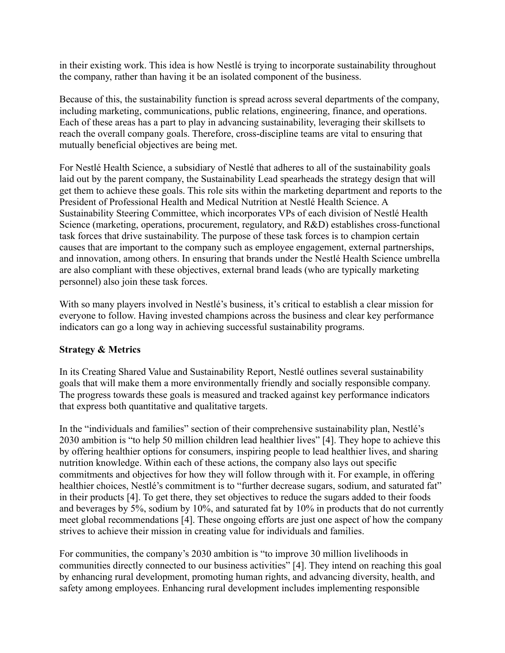in their existing work. This idea is how Nestlé is trying to incorporate sustainability throughout the company, rather than having it be an isolated component of the business.

Because of this, the sustainability function is spread across several departments of the company, including marketing, communications, public relations, engineering, finance, and operations. Each of these areas has a part to play in advancing sustainability, leveraging their skillsets to reach the overall company goals. Therefore, cross-discipline teams are vital to ensuring that mutually beneficial objectives are being met.

For Nestlé Health Science, a subsidiary of Nestlé that adheres to all of the sustainability goals laid out by the parent company, the Sustainability Lead spearheads the strategy design that will get them to achieve these goals. This role sits within the marketing department and reports to the President of Professional Health and Medical Nutrition at Nestlé Health Science. A Sustainability Steering Committee, which incorporates VPs of each division of Nestlé Health Science (marketing, operations, procurement, regulatory, and R&D) establishes cross-functional task forces that drive sustainability. The purpose of these task forces is to champion certain causes that are important to the company such as employee engagement, external partnerships, and innovation, among others. In ensuring that brands under the Nestlé Health Science umbrella are also compliant with these objectives, external brand leads (who are typically marketing personnel) also join these task forces.

With so many players involved in Nestlé's business, it's critical to establish a clear mission for everyone to follow. Having invested champions across the business and clear key performance indicators can go a long way in achieving successful sustainability programs.

# **Strategy & Metrics**

In its Creating Shared Value and Sustainability Report, Nestlé outlines several sustainability goals that will make them a more environmentally friendly and socially responsible company. The progress towards these goals is measured and tracked against key performance indicators that express both quantitative and qualitative targets.

In the "individuals and families" section of their comprehensive sustainability plan, Nestlé's 2030 ambition is "to help 50 million children lead healthier lives" [4]. They hope to achieve this by offering healthier options for consumers, inspiring people to lead healthier lives, and sharing nutrition knowledge. Within each of these actions, the company also lays out specific commitments and objectives for how they will follow through with it. For example, in offering healthier choices, Nestlé's commitment is to "further decrease sugars, sodium, and saturated fat" in their products [4]. To get there, they set objectives to reduce the sugars added to their foods and beverages by 5%, sodium by 10%, and saturated fat by 10% in products that do not currently meet global recommendations [4]. These ongoing efforts are just one aspect of how the company strives to achieve their mission in creating value for individuals and families.

For communities, the company's 2030 ambition is "to improve 30 million livelihoods in communities directly connected to our business activities" [4]. They intend on reaching this goal by enhancing rural development, promoting human rights, and advancing diversity, health, and safety among employees. Enhancing rural development includes implementing responsible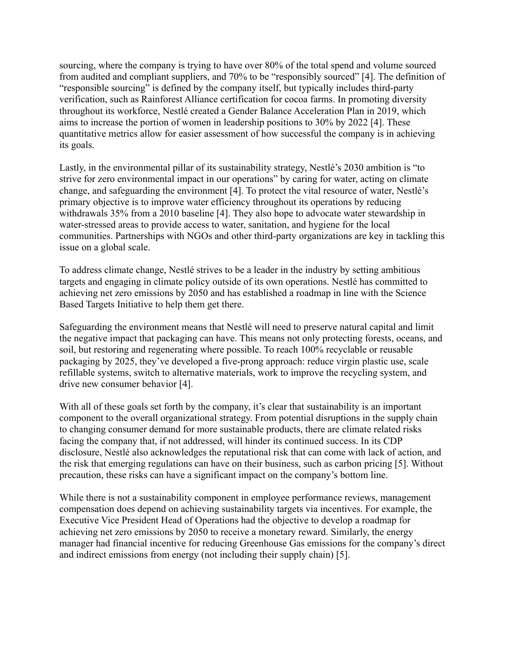sourcing, where the company is trying to have over 80% of the total spend and volume sourced from audited and compliant suppliers, and 70% to be "responsibly sourced" [4]. The definition of "responsible sourcing" is defined by the company itself, but typically includes third-party verification, such as Rainforest Alliance certification for cocoa farms. In promoting diversity throughout its workforce, Nestlé created a Gender Balance Acceleration Plan in 2019, which aims to increase the portion of women in leadership positions to 30% by 2022 [4]. These quantitative metrics allow for easier assessment of how successful the company is in achieving its goals.

Lastly, in the environmental pillar of its sustainability strategy, Nestlé's 2030 ambition is "to strive for zero environmental impact in our operations" by caring for water, acting on climate change, and safeguarding the environment [4]. To protect the vital resource of water, Nestlé's primary objective is to improve water efficiency throughout its operations by reducing withdrawals 35% from a 2010 baseline [4]. They also hope to advocate water stewardship in water-stressed areas to provide access to water, sanitation, and hygiene for the local communities. Partnerships with NGOs and other third-party organizations are key in tackling this issue on a global scale.

To address climate change, Nestlé strives to be a leader in the industry by setting ambitious targets and engaging in climate policy outside of its own operations. Nestlé has committed to achieving net zero emissions by 2050 and has established a roadmap in line with the Science Based Targets Initiative to help them get there.

Safeguarding the environment means that Nestlé will need to preserve natural capital and limit the negative impact that packaging can have. This means not only protecting forests, oceans, and soil, but restoring and regenerating where possible. To reach 100% recyclable or reusable packaging by 2025, they've developed a five-prong approach: reduce virgin plastic use, scale refillable systems, switch to alternative materials, work to improve the recycling system, and drive new consumer behavior [4].

With all of these goals set forth by the company, it's clear that sustainability is an important component to the overall organizational strategy. From potential disruptions in the supply chain to changing consumer demand for more sustainable products, there are climate related risks facing the company that, if not addressed, will hinder its continued success. In its CDP disclosure, Nestlé also acknowledges the reputational risk that can come with lack of action, and the risk that emerging regulations can have on their business, such as carbon pricing [5]. Without precaution, these risks can have a significant impact on the company's bottom line.

While there is not a sustainability component in employee performance reviews, management compensation does depend on achieving sustainability targets via incentives. For example, the Executive Vice President Head of Operations had the objective to develop a roadmap for achieving net zero emissions by 2050 to receive a monetary reward. Similarly, the energy manager had financial incentive for reducing Greenhouse Gas emissions for the company's direct and indirect emissions from energy (not including their supply chain) [5].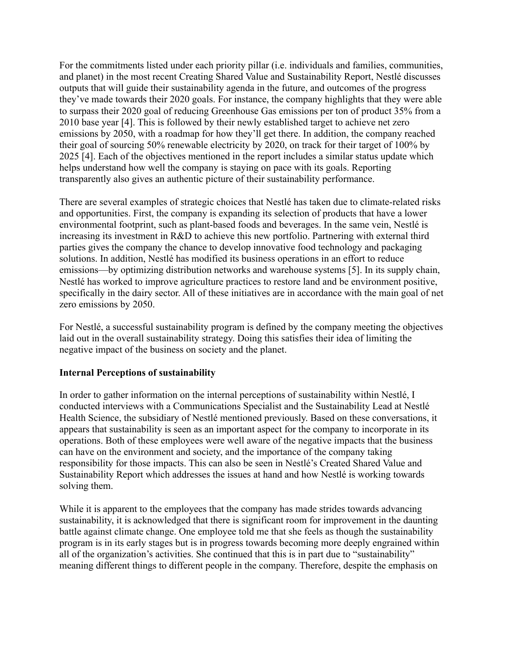For the commitments listed under each priority pillar (i.e. individuals and families, communities, and planet) in the most recent Creating Shared Value and Sustainability Report, Nestlé discusses outputs that will guide their sustainability agenda in the future, and outcomes of the progress they've made towards their 2020 goals. For instance, the company highlights that they were able to surpass their 2020 goal of reducing Greenhouse Gas emissions per ton of product 35% from a 2010 base year [4]. This is followed by their newly established target to achieve net zero emissions by 2050, with a roadmap for how they'll get there. In addition, the company reached their goal of sourcing 50% renewable electricity by 2020, on track for their target of 100% by 2025 [4]. Each of the objectives mentioned in the report includes a similar status update which helps understand how well the company is staying on pace with its goals. Reporting transparently also gives an authentic picture of their sustainability performance.

There are several examples of strategic choices that Nestlé has taken due to climate-related risks and opportunities. First, the company is expanding its selection of products that have a lower environmental footprint, such as plant-based foods and beverages. In the same vein, Nestlé is increasing its investment in R&D to achieve this new portfolio. Partnering with external third parties gives the company the chance to develop innovative food technology and packaging solutions. In addition, Nestlé has modified its business operations in an effort to reduce emissions—by optimizing distribution networks and warehouse systems [5]. In its supply chain, Nestlé has worked to improve agriculture practices to restore land and be environment positive, specifically in the dairy sector. All of these initiatives are in accordance with the main goal of net zero emissions by 2050.

For Nestlé, a successful sustainability program is defined by the company meeting the objectives laid out in the overall sustainability strategy. Doing this satisfies their idea of limiting the negative impact of the business on society and the planet.

#### **Internal Perceptions of sustainability**

In order to gather information on the internal perceptions of sustainability within Nestlé, I conducted interviews with a Communications Specialist and the Sustainability Lead at Nestlé Health Science, the subsidiary of Nestlé mentioned previously. Based on these conversations, it appears that sustainability is seen as an important aspect for the company to incorporate in its operations. Both of these employees were well aware of the negative impacts that the business can have on the environment and society, and the importance of the company taking responsibility for those impacts. This can also be seen in Nestlé's Created Shared Value and Sustainability Report which addresses the issues at hand and how Nestlé is working towards solving them.

While it is apparent to the employees that the company has made strides towards advancing sustainability, it is acknowledged that there is significant room for improvement in the daunting battle against climate change. One employee told me that she feels as though the sustainability program is in its early stages but is in progress towards becoming more deeply engrained within all of the organization's activities. She continued that this is in part due to "sustainability" meaning different things to different people in the company. Therefore, despite the emphasis on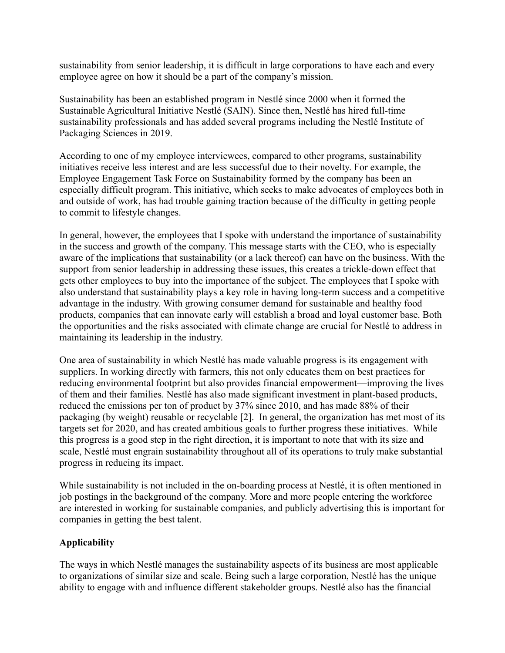sustainability from senior leadership, it is difficult in large corporations to have each and every employee agree on how it should be a part of the company's mission.

Sustainability has been an established program in Nestlé since 2000 when it formed the Sustainable Agricultural Initiative Nestlé (SAIN). Since then, Nestlé has hired full-time sustainability professionals and has added several programs including the Nestlé Institute of Packaging Sciences in 2019.

According to one of my employee interviewees, compared to other programs, sustainability initiatives receive less interest and are less successful due to their novelty. For example, the Employee Engagement Task Force on Sustainability formed by the company has been an especially difficult program. This initiative, which seeks to make advocates of employees both in and outside of work, has had trouble gaining traction because of the difficulty in getting people to commit to lifestyle changes.

In general, however, the employees that I spoke with understand the importance of sustainability in the success and growth of the company. This message starts with the CEO, who is especially aware of the implications that sustainability (or a lack thereof) can have on the business. With the support from senior leadership in addressing these issues, this creates a trickle-down effect that gets other employees to buy into the importance of the subject. The employees that I spoke with also understand that sustainability plays a key role in having long-term success and a competitive advantage in the industry. With growing consumer demand for sustainable and healthy food products, companies that can innovate early will establish a broad and loyal customer base. Both the opportunities and the risks associated with climate change are crucial for Nestlé to address in maintaining its leadership in the industry.

One area of sustainability in which Nestlé has made valuable progress is its engagement with suppliers. In working directly with farmers, this not only educates them on best practices for reducing environmental footprint but also provides financial empowerment—improving the lives of them and their families. Nestlé has also made significant investment in plant-based products, reduced the emissions per ton of product by 37% since 2010, and has made 88% of their packaging (by weight) reusable or recyclable [2]. In general, the organization has met most of its targets set for 2020, and has created ambitious goals to further progress these initiatives. While this progress is a good step in the right direction, it is important to note that with its size and scale, Nestlé must engrain sustainability throughout all of its operations to truly make substantial progress in reducing its impact.

While sustainability is not included in the on-boarding process at Nestlé, it is often mentioned in job postings in the background of the company. More and more people entering the workforce are interested in working for sustainable companies, and publicly advertising this is important for companies in getting the best talent.

# **Applicability**

The ways in which Nestlé manages the sustainability aspects of its business are most applicable to organizations of similar size and scale. Being such a large corporation, Nestlé has the unique ability to engage with and influence different stakeholder groups. Nestlé also has the financial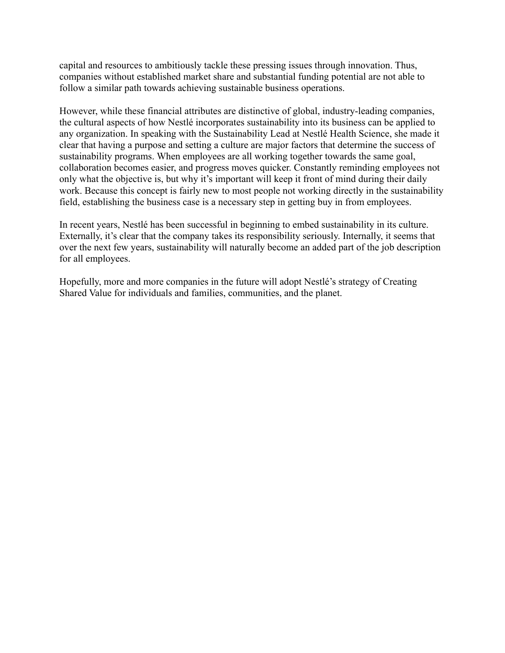capital and resources to ambitiously tackle these pressing issues through innovation. Thus, companies without established market share and substantial funding potential are not able to follow a similar path towards achieving sustainable business operations.

However, while these financial attributes are distinctive of global, industry-leading companies, the cultural aspects of how Nestlé incorporates sustainability into its business can be applied to any organization. In speaking with the Sustainability Lead at Nestlé Health Science, she made it clear that having a purpose and setting a culture are major factors that determine the success of sustainability programs. When employees are all working together towards the same goal, collaboration becomes easier, and progress moves quicker. Constantly reminding employees not only what the objective is, but why it's important will keep it front of mind during their daily work. Because this concept is fairly new to most people not working directly in the sustainability field, establishing the business case is a necessary step in getting buy in from employees.

In recent years, Nestlé has been successful in beginning to embed sustainability in its culture. Externally, it's clear that the company takes its responsibility seriously. Internally, it seems that over the next few years, sustainability will naturally become an added part of the job description for all employees.

Hopefully, more and more companies in the future will adopt Nestlé's strategy of Creating Shared Value for individuals and families, communities, and the planet.